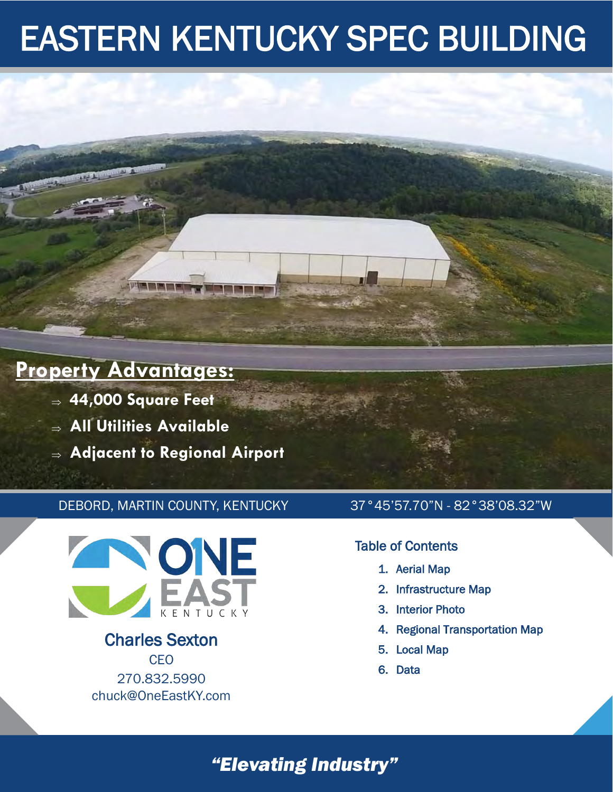

- **44,000 Square Feet**
- **All Utilities Available**
- **Adjacent to Regional Airport**

**MARKET SIGN** 

#### DEBORD, MARTIN COUNTY, KENTUCKY 37°45'57.70"N - 82°38'08.32"W



Charles Sexton **CEO** 270.832.5990 chuck@OneEastKY.com

#### Table of Contents

- 1. Aerial Map
- 2. Infrastructure Map
- 3. Interior Photo
- 4. Regional Transportation Map
- 5. Local Map
- 6. Data

### *"Elevating Industry"*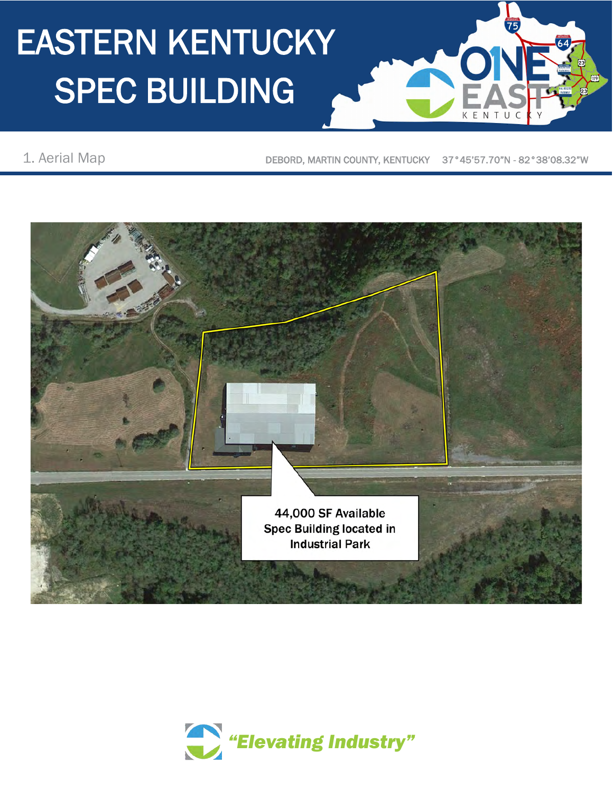1. Aerial Map **DEBORD, MARTIN COUNTY, KENTUCKY** 37°45'57.70"N - 82°38'08.32"W

 $75$ 



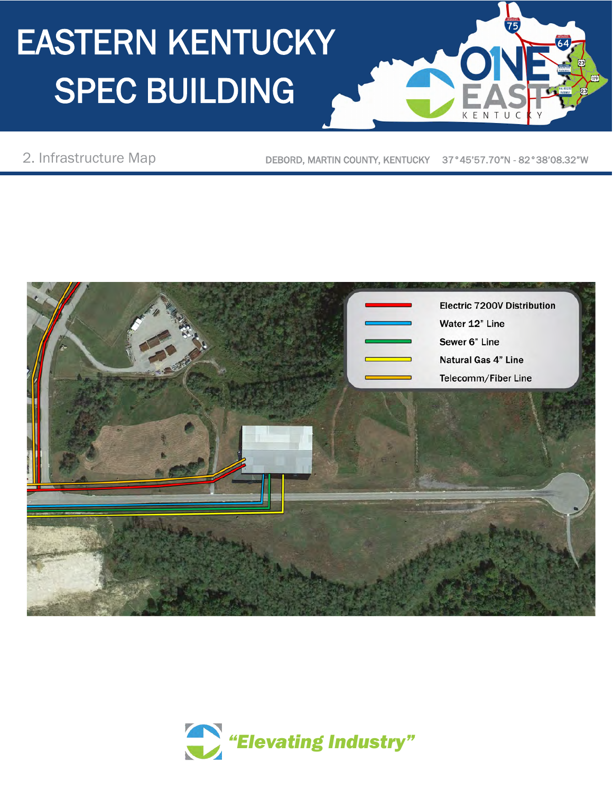2. Infrastructure Map

DEBORD, MARTIN COUNTY, KENTUCKY 37°45'57.70"N - 82°38'08.32"W

 $\overline{75}$ 



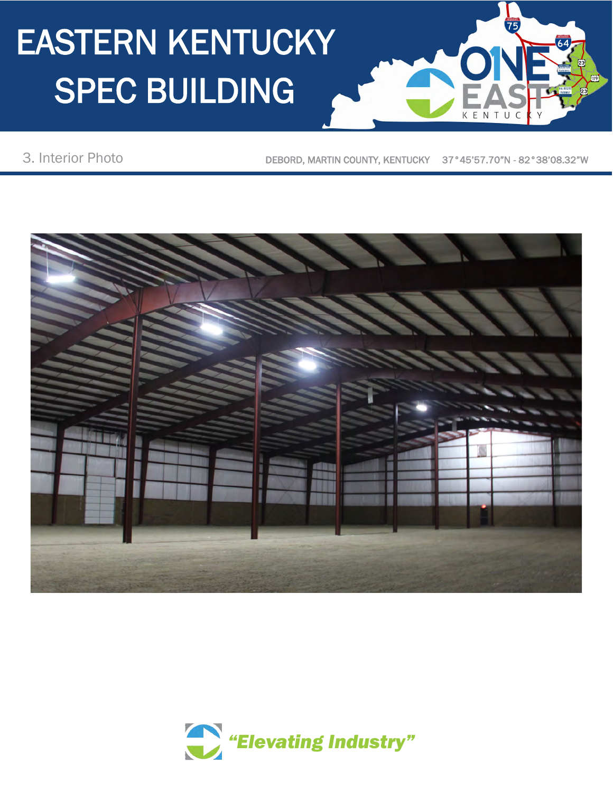3. Interior Photo

DEBORD, MARTIN COUNTY, KENTUCKY 37°45'57.70"N - 82°38'08.32"W

 $75$ 

 $N$  T



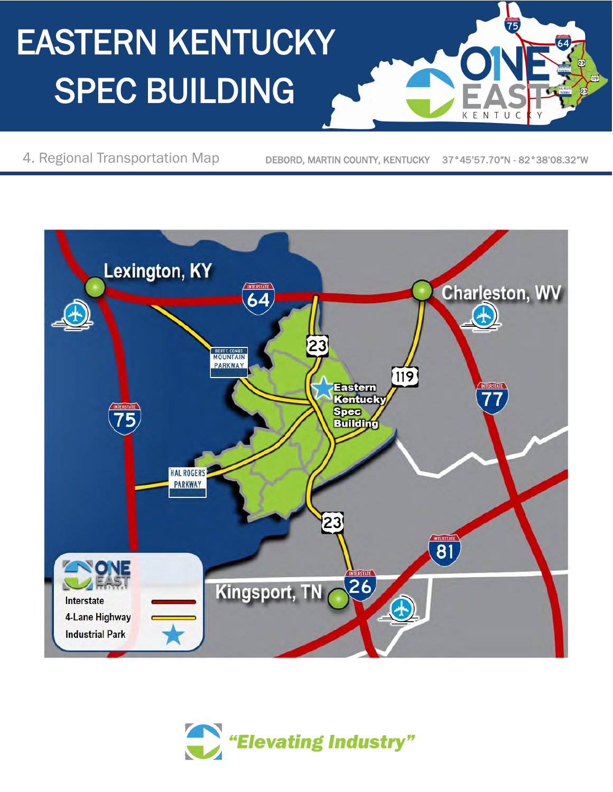4. Regional Transportation Map

DEBORD, MARTIN COUNTY, KENTUCKY 37°45'57.70"N - 82°38'08.32"W

 $75$ 

NTU

 $\mathsf{C}$ 

KE



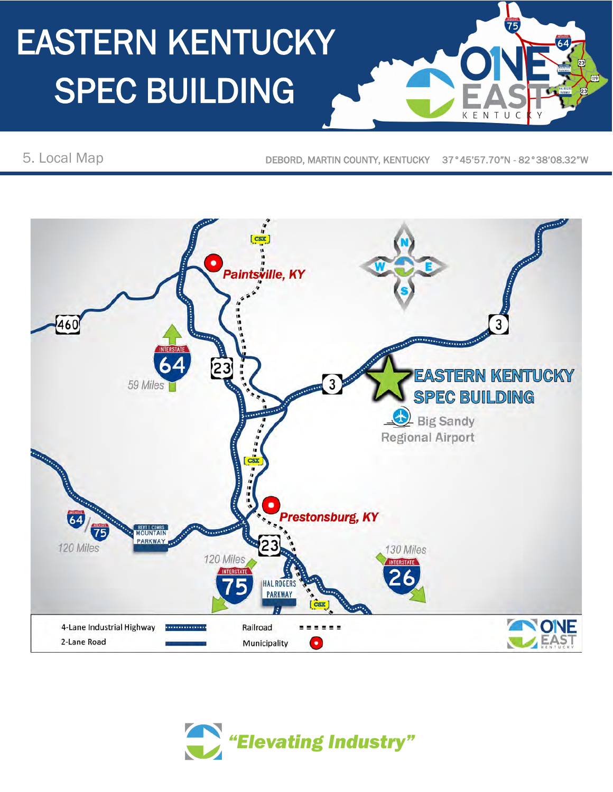5. Local Map

DEBORD, MARTIN COUNTY, KENTUCKY 37°45'57.70"N - 82°38'08.32"W

KE

NTU

 $\mathcal{C}$ 

 $\overline{75}$